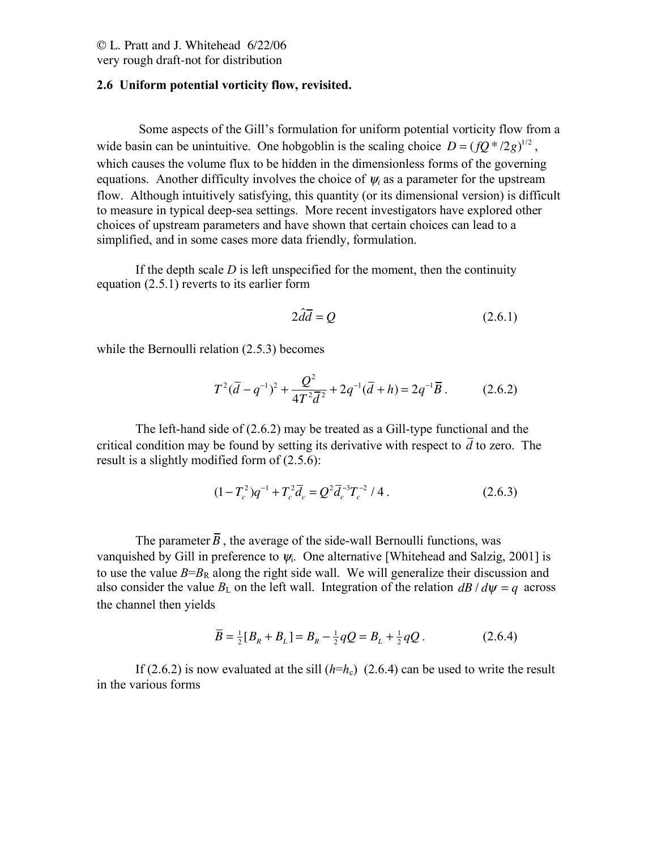# © L. Pratt and J. Whitehead 6/22/06

very rough draft-not for distribution

## **2.6 Uniform potential vorticity flow, revisited.**

Some aspects of the Gill's formulation for uniform potential vorticity flow from a wide basin can be unintuitive. One hobgoblin is the scaling choice  $D = (fQ^*/2g)^{1/2}$ , which causes the volume flux to be hidden in the dimensionless forms of the governing equations. Another difficulty involves the choice of  $\psi_i$  as a parameter for the upstream flow. Although intuitively satisfying, this quantity (or its dimensional version) is difficult to measure in typical deep-sea settings. More recent investigators have explored other choices of upstream parameters and have shown that certain choices can lead to a simplified, and in some cases more data friendly, formulation.

If the depth scale *D* is left unspecified for the moment, then the continuity equation (2.5.1) reverts to its earlier form

$$
2\hat{d}\overline{d} = Q \tag{2.6.1}
$$

while the Bernoulli relation  $(2.5.3)$  becomes

$$
T^{2}(\overline{d}-q^{-1})^{2} + \frac{Q^{2}}{4T^{2}\overline{d}^{2}} + 2q^{-1}(\overline{d}+h) = 2q^{-1}\overline{B}.
$$
 (2.6.2)

The left-hand side of (2.6.2) may be treated as a Gill-type functional and the critical condition may be found by setting its derivative with respect to *d* to zero. The result is a slightly modified form of (2.5.6):

$$
(1 - T_c^2)q^{-1} + T_c^2 \overline{d}_c = Q^2 \overline{d}_c^{-3} T_c^{-2} / 4.
$$
 (2.6.3)

The parameter  $\overline{B}$ , the average of the side-wall Bernoulli functions, was vanquished by Gill in preference to  $\psi$ . One alternative [Whitehead and Salzig, 2001] is to use the value  $B=B_R$  along the right side wall. We will generalize their discussion and also consider the value  $B_L$  on the left wall. Integration of the relation  $\frac{dB}{d\psi} = q$  across the channel then yields

$$
\overline{B} = \frac{1}{2}[B_R + B_L] = B_R - \frac{1}{2}qQ = B_L + \frac{1}{2}qQ.
$$
 (2.6.4)

If (2.6.2) is now evaluated at the sill  $(h=h_c)$  (2.6.4) can be used to write the result in the various forms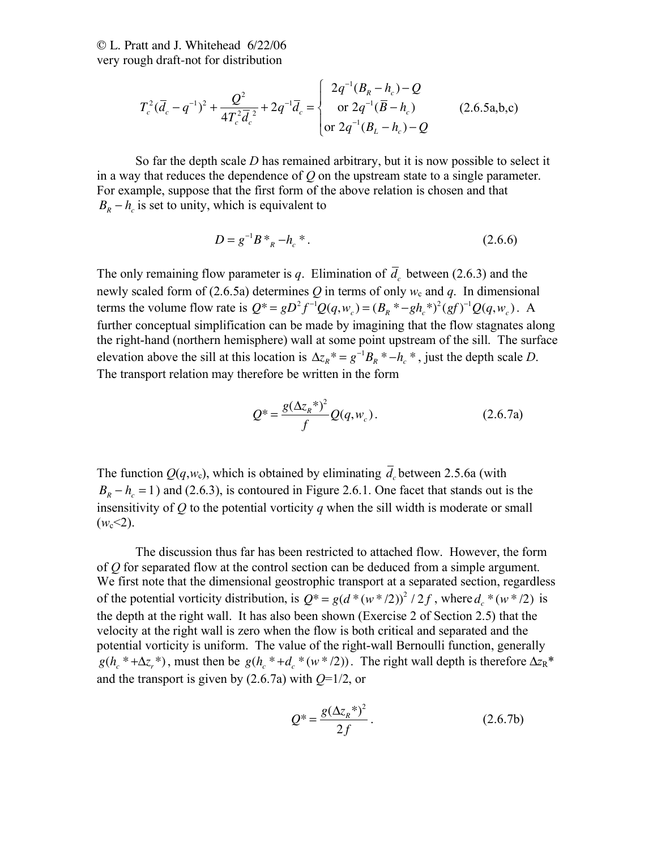$$
T_c^2 (\overline{d}_c - q^{-1})^2 + \frac{Q^2}{4T_c^2 \overline{d}_c^2} + 2q^{-1} \overline{d}_c = \begin{cases} 2q^{-1} (B_R - h_c) - Q \\ \text{or } 2q^{-1} (\overline{B} - h_c) \\ \text{or } 2q^{-1} (B_L - h_c) - Q \end{cases} \tag{2.6.5a,b,c}
$$

So far the depth scale *D* has remained arbitrary, but it is now possible to select it in a way that reduces the dependence of *Q* on the upstream state to a single parameter. For example, suppose that the first form of the above relation is chosen and that  $B_R - h_c$  is set to unity, which is equivalent to

$$
D = g^{-1}B *_{R} -h_{c} * .
$$
 (2.6.6)

The only remaining flow parameter is  $q$ . Elimination of  $d_c$  between (2.6.3) and the newly scaled form of (2.6.5a) determines  $Q$  in terms of only  $w_c$  and  $q$ . In dimensional terms the volume flow rate is  $Q^* = gD^2 f^{-1} Q(q, w_c) = (B_R^* - gh_c^*)^2 (gf)^{-1} Q(q, w_c)$ . A further conceptual simplification can be made by imagining that the flow stagnates along the right-hand (northern hemisphere) wall at some point upstream of the sill. The surface elevation above the sill at this location is  $\Delta z_R^* = g^{-1}B_R^* - h_c^*$ , just the depth scale *D*. The transport relation may therefore be written in the form

$$
Q^* = \frac{g(\Delta z_R^*)^2}{f} Q(q, w_c).
$$
 (2.6.7a)

The function  $Q(q, w_c)$ , which is obtained by eliminating  $d_c$  between 2.5.6a (with  $B_R - h_c = 1$ ) and (2.6.3), is contoured in Figure 2.6.1. One facet that stands out is the insensitivity of  $Q$  to the potential vorticity  $q$  when the sill width is moderate or small  $(w_c < 2)$ .

The discussion thus far has been restricted to attached flow. However, the form of *Q* for separated flow at the control section can be deduced from a simple argument. We first note that the dimensional geostrophic transport at a separated section, regardless of the potential vorticity distribution, is  $Q^* = g(d^*(w^*/2))^2 / 2f$ , where  $d_c^*(w^*/2)$  is the depth at the right wall. It has also been shown (Exercise 2 of Section 2.5) that the velocity at the right wall is zero when the flow is both critical and separated and the potential vorticity is uniform. The value of the right-wall Bernoulli function, generally  $g(h_c^* + \Delta z_r^*)$ , must then be  $g(h_c^* + d_c^* (w^*/2))$ . The right wall depth is therefore  $\Delta z_R^*$ and the transport is given by (2.6.7a) with *Q*=1/2, or

$$
Q^* = \frac{g(\Delta z_R^*)^2}{2f}.
$$
 (2.6.7b)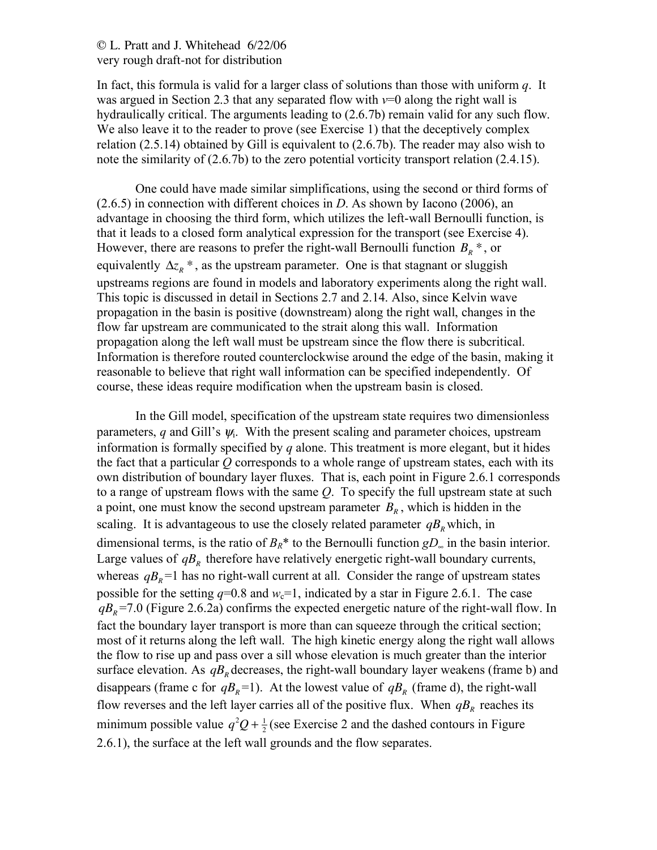In fact, this formula is valid for a larger class of solutions than those with uniform *q*. It was argued in Section 2.3 that any separated flow with  $v=0$  along the right wall is hydraulically critical. The arguments leading to (2.6.7b) remain valid for any such flow. We also leave it to the reader to prove (see Exercise 1) that the deceptively complex relation (2.5.14) obtained by Gill is equivalent to (2.6.7b). The reader may also wish to note the similarity of (2.6.7b) to the zero potential vorticity transport relation (2.4.15).

One could have made similar simplifications, using the second or third forms of (2.6.5) in connection with different choices in *D*. As shown by Iacono (2006), an advantage in choosing the third form, which utilizes the left-wall Bernoulli function, is that it leads to a closed form analytical expression for the transport (see Exercise 4). However, there are reasons to prefer the right-wall Bernoulli function  $B_R^*$ , or equivalently  $\Delta z_R^*$ , as the upstream parameter. One is that stagnant or sluggish upstreams regions are found in models and laboratory experiments along the right wall. This topic is discussed in detail in Sections 2.7 and 2.14. Also, since Kelvin wave propagation in the basin is positive (downstream) along the right wall, changes in the flow far upstream are communicated to the strait along this wall. Information propagation along the left wall must be upstream since the flow there is subcritical. Information is therefore routed counterclockwise around the edge of the basin, making it reasonable to believe that right wall information can be specified independently. Of course, these ideas require modification when the upstream basin is closed.

In the Gill model, specification of the upstream state requires two dimensionless parameters, *q* and Gill's  $\psi$ . With the present scaling and parameter choices, upstream information is formally specified by *q* alone. This treatment is more elegant, but it hides the fact that a particular *Q* corresponds to a whole range of upstream states, each with its own distribution of boundary layer fluxes. That is, each point in Figure 2.6.1 corresponds to a range of upstream flows with the same *Q*. To specify the full upstream state at such a point, one must know the second upstream parameter  $B<sub>R</sub>$ , which is hidden in the scaling. It is advantageous to use the closely related parameter  $qB<sub>R</sub>$  which, in dimensional terms, is the ratio of  $B_R^*$  to the Bernoulli function  $gD_{\infty}$  in the basin interior. Large values of  $qB<sub>R</sub>$  therefore have relatively energetic right-wall boundary currents, whereas  $qB<sub>R</sub> = 1$  has no right-wall current at all. Consider the range of upstream states possible for the setting  $q=0.8$  and  $w_c=1$ , indicated by a star in Figure 2.6.1. The case  $qB<sub>R</sub>$  =7.0 (Figure 2.6.2a) confirms the expected energetic nature of the right-wall flow. In fact the boundary layer transport is more than can squeeze through the critical section; most of it returns along the left wall. The high kinetic energy along the right wall allows the flow to rise up and pass over a sill whose elevation is much greater than the interior surface elevation. As  $qB<sub>R</sub>$  decreases, the right-wall boundary layer weakens (frame b) and disappears (frame c for  $qB_R$ =1). At the lowest value of  $qB_R$  (frame d), the right-wall flow reverses and the left layer carries all of the positive flux. When  $qB<sub>R</sub>$  reaches its minimum possible value  $q^2Q + \frac{1}{2}$  (see Exercise 2 and the dashed contours in Figure 2.6.1), the surface at the left wall grounds and the flow separates.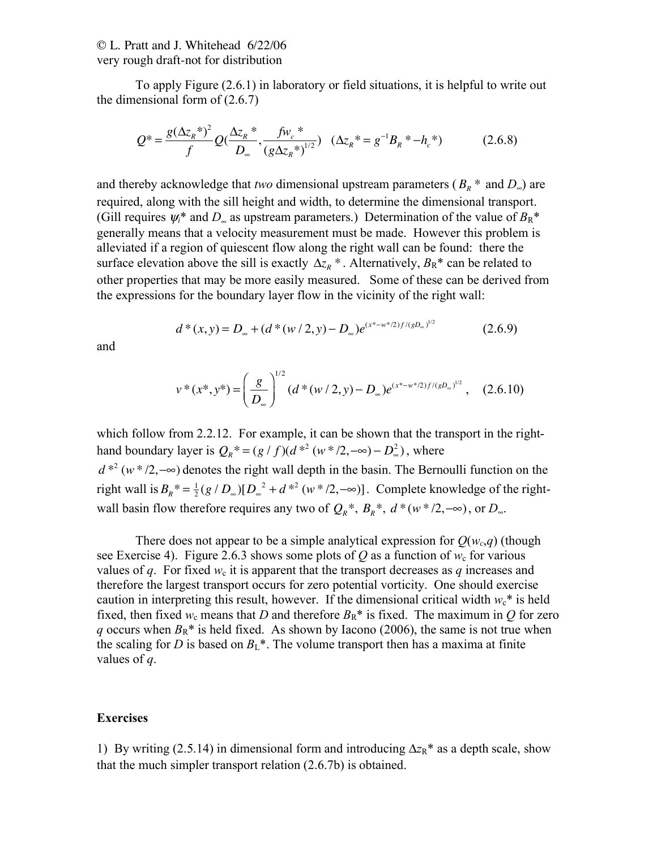To apply Figure (2.6.1) in laboratory or field situations, it is helpful to write out the dimensional form of (2.6.7)

$$
Q^* = \frac{g(\Delta z_R^*)^2}{f} Q(\frac{\Delta z_R^*}{D_\infty^*}, \frac{f w_c^*}{(g \Delta z_R^*)^{1/2}}) \quad (\Delta z_R^* = g^{-1} B_R^* - h_c^*)
$$
 (2.6.8)

and thereby acknowledge that *two* dimensional upstream parameters ( $B_R$ <sup>\*</sup> and  $D_{\infty}$ ) are required, along with the sill height and width, to determine the dimensional transport. (Gill requires  $\psi_i^*$  and  $D_{\infty}$  as upstream parameters.) Determination of the value of  $B_R^*$ generally means that a velocity measurement must be made. However this problem is alleviated if a region of quiescent flow along the right wall can be found: there the surface elevation above the sill is exactly  $\Delta z_R^*$ . Alternatively,  $B_R^*$  can be related to other properties that may be more easily measured. Some of these can be derived from the expressions for the boundary layer flow in the vicinity of the right wall:

$$
d^*(x, y) = D_{\infty} + (d^*(w/2, y) - D_{\infty})e^{(x^* - w^* / 2)f/(gD_{\infty})^{1/2}}
$$
(2.6.9)

and

$$
v^*(x^*, y^*) = \left(\frac{g}{D_{\infty}}\right)^{1/2} (d^*(w/2, y) - D_{\infty})e^{(x^* - w^* / 2)f/(gD_{\infty})^{1/2}}, \quad (2.6.10)
$$

which follow from 2.2.12. For example, it can be shown that the transport in the righthand boundary layer is  $Q_R^* = (g/f)(d^{*2}(w*/2, -\infty) - D_\infty^2)$ , where  $d^{*2}(w^*/2, -\infty)$  denotes the right wall depth in the basin. The Bernoulli function on the right wall is  $B_R^* = \frac{1}{2} (g / D_\infty) [D_\infty^2 + d^{*2} (w^* / 2, -\infty)]$ . Complete knowledge of the rightwall basin flow therefore requires any two of  $Q_R^*$ ,  $B_R^*$ ,  $d^*(w^*/2, -\infty)$ , or  $D_{\infty}$ .

There does not appear to be a simple analytical expression for  $O(w_c,q)$  (though see Exercise 4). Figure 2.6.3 shows some plots of *Q* as a function of  $w_c$  for various values of *q*. For fixed  $w_c$  it is apparent that the transport decreases as *q* increases and therefore the largest transport occurs for zero potential vorticity. One should exercise caution in interpreting this result, however. If the dimensional critical width  $w_c^*$  is held fixed, then fixed  $w_c$  means that *D* and therefore  $B_R^*$  is fixed. The maximum in *O* for zero *q* occurs when  $B_R^*$  is held fixed. As shown by Iacono (2006), the same is not true when the scaling for *D* is based on  $B_L^*$ . The volume transport then has a maxima at finite values of *q*.

#### **Exercises**

1) By writing (2.5.14) in dimensional form and introducing  $\Delta z_R^*$  as a depth scale, show that the much simpler transport relation (2.6.7b) is obtained.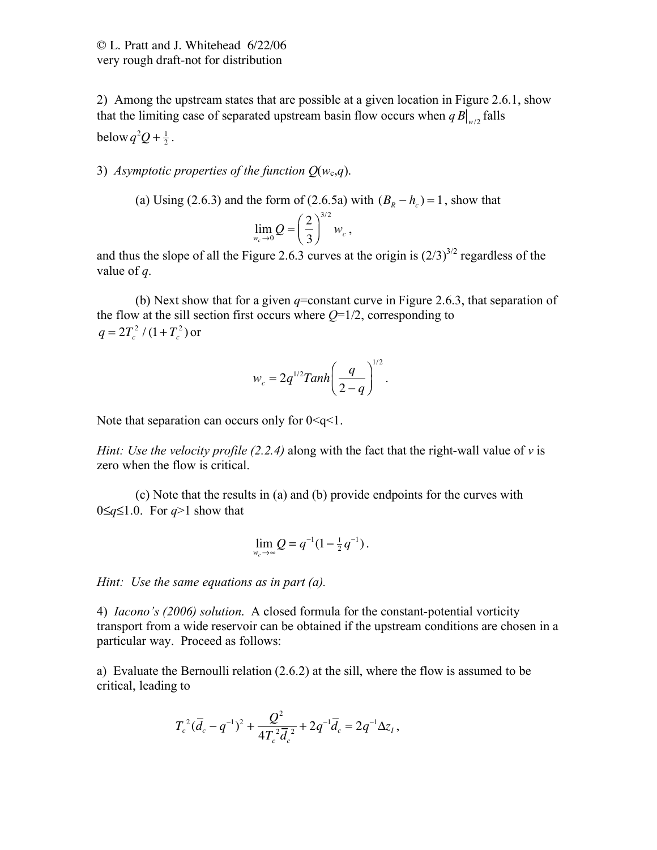2) Among the upstream states that are possible at a given location in Figure 2.6.1, show that the limiting case of separated upstream basin flow occurs when  $qB|_{w/2}$  falls below  $q^2Q + \frac{1}{2}$ .

#### 3) *Asymptotic properties of the function*  $Q(w_c,q)$ *.*

(a) Using (2.6.3) and the form of (2.6.5a) with  $(B_R - h_c) = 1$ , show that  $\lim_{w_c \to 0} Q = \left(\frac{2}{3}\right)$ 3  $\sqrt{ }$  $\left(\frac{2}{3}\right)$ 3/2  $w_c$ ,

and thus the slope of all the Figure 2.6.3 curves at the origin is  $(2/3)^{3/2}$  regardless of the value of *q*.

(b) Next show that for a given  $q$ =constant curve in Figure 2.6.3, that separation of the flow at the sill section first occurs where  $Q=1/2$ , corresponding to  $q = 2T_c^2/(1+T_c^2)$  or

*wc* = 2*q* 1/2 *Tanh <sup>q</sup>* 2 ! *q* " # \$ % & ' 1/2 .

Note that separation can occurs only for  $0 \leq q \leq 1$ .

*Hint: Use the velocity profile*  $(2.2.4)$  along with the fact that the right-wall value of  $\nu$  is zero when the flow is critical.

(c) Note that the results in (a) and (b) provide endpoints for the curves with 0≤*q*≤1.0. For *q*>1 show that

$$
\lim_{w_c \to \infty} Q = q^{-1} (1 - \frac{1}{2} q^{-1}).
$$

*Hint: Use the same equations as in part (a).*

4) *Iacono's (2006) solution*. A closed formula for the constant-potential vorticity transport from a wide reservoir can be obtained if the upstream conditions are chosen in a particular way. Proceed as follows:

a) Evaluate the Bernoulli relation (2.6.2) at the sill, where the flow is assumed to be critical, leading to

$$
T_c^2(\overline{d}_c - q^{-1})^2 + \frac{Q^2}{4T_c^2\overline{d}_c^2} + 2q^{-1}\overline{d}_c = 2q^{-1}\Delta z_1,
$$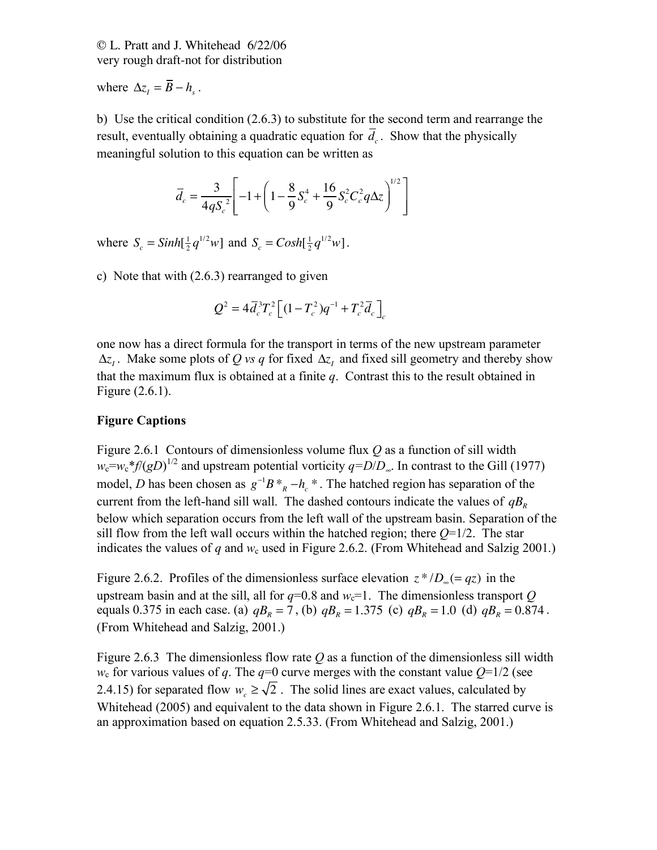where  $\Delta z_i = B - h_s$ .

b) Use the critical condition (2.6.3) to substitute for the second term and rearrange the result, eventually obtaining a quadratic equation for  $d_c$ . Show that the physically meaningful solution to this equation can be written as

$$
\overline{d}_c = \frac{3}{4qS_c^2} \left[ -1 + \left( 1 - \frac{8}{9} S_c^4 + \frac{16}{9} S_c^2 C_c^2 q \Delta z \right)^{1/2} \right]
$$

where  $S_c = \frac{\sinh[\frac{1}{2}q^{1/2}w]}{\sinh(S_c)} = \frac{\cosh[\frac{1}{2}q^{1/2}w]}{\cosh(S_c)}$ .

c) Note that with (2.6.3) rearranged to given

$$
Q^2 = 4\overline{d}_c^3 T_c^2 \left[ (1 - T_c^2) q^{-1} + T_c^2 \overline{d}_c \right]_c
$$

one now has a direct formula for the transport in terms of the new upstream parameter  $\Delta z$ <sub>*I*</sub>. Make some plots of *Q vs q* for fixed  $\Delta z$ <sub>*I*</sub> and fixed sill geometry and thereby show that the maximum flux is obtained at a finite *q*. Contrast this to the result obtained in Figure (2.6.1).

## **Figure Captions**

Figure 2.6.1 Contours of dimensionless volume flux *Q* as a function of sill width  $w_c = w_c * f/(gD)^{1/2}$  and upstream potential vorticity  $q = D/D_{\infty}$ . In contrast to the Gill (1977) model, *D* has been chosen as  $g^{-1}B *_{R} - h_c *$ . The hatched region has separation of the current from the left-hand sill wall. The dashed contours indicate the values of  $qB<sub>R</sub>$ below which separation occurs from the left wall of the upstream basin. Separation of the sill flow from the left wall occurs within the hatched region; there  $Q=1/2$ . The star indicates the values of  $q$  and  $w_c$  used in Figure 2.6.2. (From Whitehead and Salzig 2001.)

Figure 2.6.2. Profiles of the dimensionless surface elevation  $z^*/D$ <sub>∞</sub> $(= qz)$  in the upstream basin and at the sill, all for  $q=0.8$  and  $w_c=1$ . The dimensionless transport Q equals 0.375 in each case. (a)  $qB_R = 7$ , (b)  $qB_R = 1.375$  (c)  $qB_R = 1.0$  (d)  $qB_R = 0.874$ . (From Whitehead and Salzig, 2001.)

Figure 2.6.3 The dimensionless flow rate *Q* as a function of the dimensionless sill width  $w_c$  for various values of *q*. The *q*=0 curve merges with the constant value  $Q=1/2$  (see 2.4.15) for separated flow  $w_c \ge \sqrt{2}$ . The solid lines are exact values, calculated by Whitehead (2005) and equivalent to the data shown in Figure 2.6.1. The starred curve is an approximation based on equation 2.5.33. (From Whitehead and Salzig, 2001.)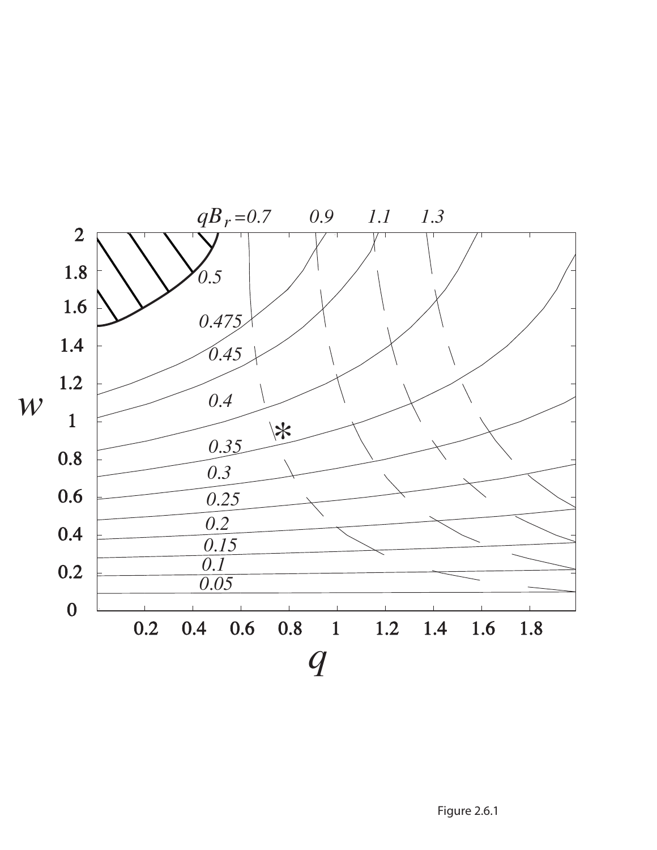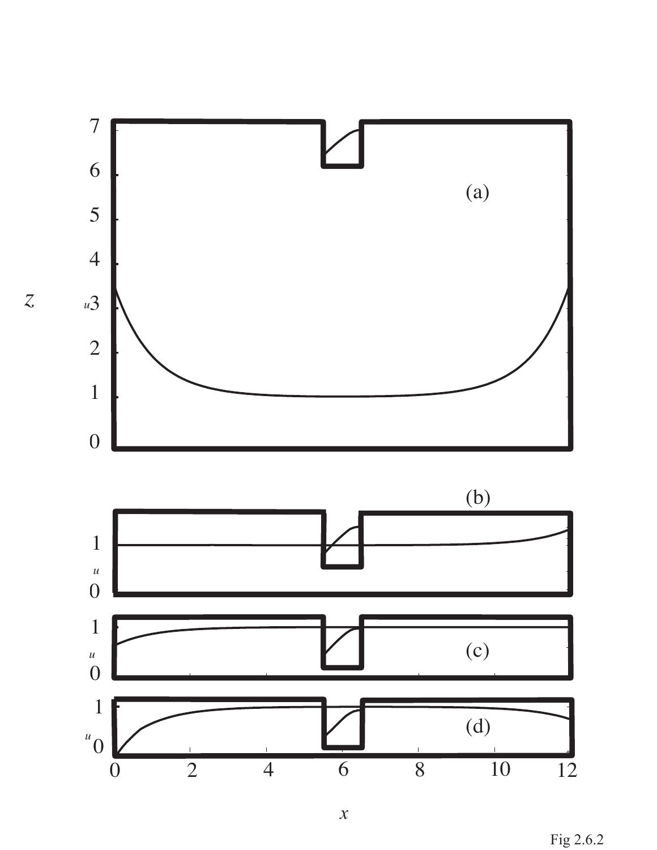